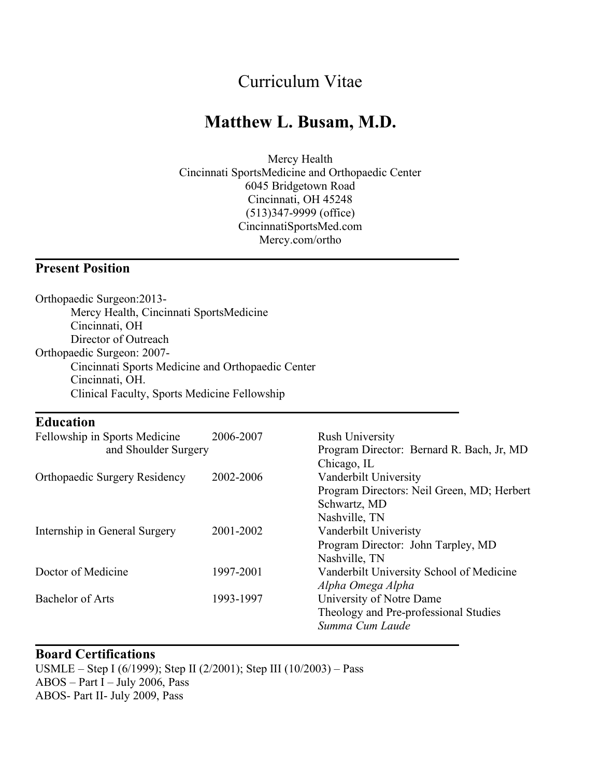# Curriculum Vitae

# **Matthew L. Busam, M.D.**

Mercy Health Cincinnati SportsMedicine and Orthopaedic Center 6045 Bridgetown Road Cincinnati, OH 45248 (513)347-9999 (office) CincinnatiSportsMed.com Mercy.com/ortho

### **Present Position**

| Orthopaedic Surgeon: 2013-                                                                                                                                                              |           |                                            |                                              |           |                                           |
|-----------------------------------------------------------------------------------------------------------------------------------------------------------------------------------------|-----------|--------------------------------------------|----------------------------------------------|-----------|-------------------------------------------|
| Mercy Health, Cincinnati SportsMedicine<br>Cincinnati, OH<br>Director of Outreach<br>Orthopaedic Surgeon: 2007-<br>Cincinnati Sports Medicine and Orthopaedic Center<br>Cincinnati, OH. |           |                                            |                                              |           |                                           |
|                                                                                                                                                                                         |           |                                            | Clinical Faculty, Sports Medicine Fellowship |           |                                           |
|                                                                                                                                                                                         |           |                                            |                                              |           |                                           |
|                                                                                                                                                                                         |           |                                            | <b>Education</b>                             |           |                                           |
|                                                                                                                                                                                         |           |                                            | Fellowship in Sports Medicine                | 2006-2007 | <b>Rush University</b>                    |
|                                                                                                                                                                                         |           |                                            | and Shoulder Surgery                         |           | Program Director: Bernard R. Bach, Jr, MD |
|                                                                                                                                                                                         |           | Chicago, IL                                |                                              |           |                                           |
| <b>Orthopaedic Surgery Residency</b>                                                                                                                                                    | 2002-2006 | Vanderbilt University                      |                                              |           |                                           |
|                                                                                                                                                                                         |           | Program Directors: Neil Green, MD; Herbert |                                              |           |                                           |
|                                                                                                                                                                                         |           | Schwartz, MD                               |                                              |           |                                           |
|                                                                                                                                                                                         |           | Nashville, TN                              |                                              |           |                                           |
| Internship in General Surgery                                                                                                                                                           | 2001-2002 | Vanderbilt Univeristy                      |                                              |           |                                           |
|                                                                                                                                                                                         |           | Program Director: John Tarpley, MD         |                                              |           |                                           |
|                                                                                                                                                                                         |           | Nashville, TN                              |                                              |           |                                           |
| Doctor of Medicine                                                                                                                                                                      | 1997-2001 | Vanderbilt University School of Medicine   |                                              |           |                                           |
|                                                                                                                                                                                         |           | Alpha Omega Alpha                          |                                              |           |                                           |
| <b>Bachelor of Arts</b>                                                                                                                                                                 | 1993-1997 | University of Notre Dame                   |                                              |           |                                           |
|                                                                                                                                                                                         |           | Theology and Pre-professional Studies      |                                              |           |                                           |
|                                                                                                                                                                                         |           | Summa Cum Laude                            |                                              |           |                                           |

#### **Board Certifications**

USMLE – Step I (6/1999); Step II (2/2001); Step III (10/2003) – Pass ABOS – Part I – July 2006, Pass ABOS- Part II- July 2009, Pass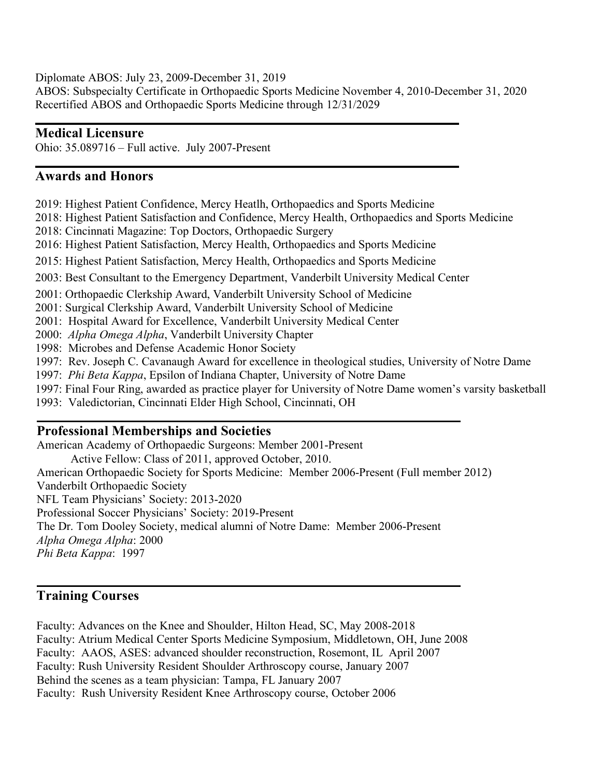Diplomate ABOS: July 23, 2009-December 31, 2019 ABOS: Subspecialty Certificate in Orthopaedic Sports Medicine November 4, 2010-December 31, 2020 Recertified ABOS and Orthopaedic Sports Medicine through 12/31/2029

### **Medical Licensure**

Ohio: 35.089716 – Full active. July 2007-Present

### **Awards and Honors**

2019: Highest Patient Confidence, Mercy Heatlh, Orthopaedics and Sports Medicine

2018: Highest Patient Satisfaction and Confidence, Mercy Health, Orthopaedics and Sports Medicine

2018: Cincinnati Magazine: Top Doctors, Orthopaedic Surgery

2016: Highest Patient Satisfaction, Mercy Health, Orthopaedics and Sports Medicine

2015: Highest Patient Satisfaction, Mercy Health, Orthopaedics and Sports Medicine

2003: Best Consultant to the Emergency Department, Vanderbilt University Medical Center

2001: Orthopaedic Clerkship Award, Vanderbilt University School of Medicine

2001: Surgical Clerkship Award, Vanderbilt University School of Medicine

2001: Hospital Award for Excellence, Vanderbilt University Medical Center

2000: *Alpha Omega Alpha*, Vanderbilt University Chapter

1998: Microbes and Defense Academic Honor Society

1997: Rev. Joseph C. Cavanaugh Award for excellence in theological studies, University of Notre Dame

1997: *Phi Beta Kappa*, Epsilon of Indiana Chapter, University of Notre Dame

1997: Final Four Ring, awarded as practice player for University of Notre Dame women's varsity basketball

1993: Valedictorian, Cincinnati Elder High School, Cincinnati, OH

### **Professional Memberships and Societies**

American Academy of Orthopaedic Surgeons: Member 2001-Present

Active Fellow: Class of 2011, approved October, 2010.

American Orthopaedic Society for Sports Medicine: Member 2006-Present (Full member 2012)

Vanderbilt Orthopaedic Society

NFL Team Physicians' Society: 2013-2020

Professional Soccer Physicians' Society: 2019-Present

The Dr. Tom Dooley Society, medical alumni of Notre Dame: Member 2006-Present

*Alpha Omega Alpha*: 2000

*Phi Beta Kappa*: 1997

### **Training Courses**

Faculty: Advances on the Knee and Shoulder, Hilton Head, SC, May 2008-2018 Faculty: Atrium Medical Center Sports Medicine Symposium, Middletown, OH, June 2008 Faculty: AAOS, ASES: advanced shoulder reconstruction, Rosemont, IL April 2007 Faculty: Rush University Resident Shoulder Arthroscopy course, January 2007 Behind the scenes as a team physician: Tampa, FL January 2007 Faculty: Rush University Resident Knee Arthroscopy course, October 2006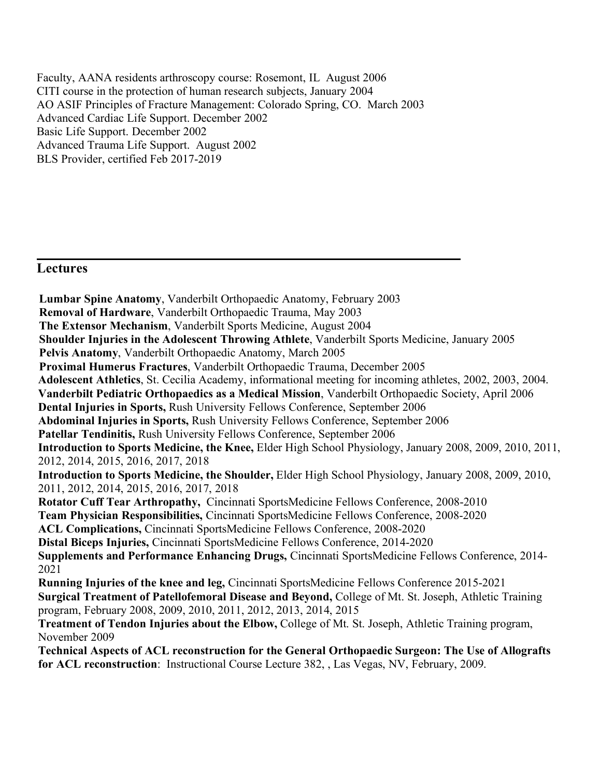Faculty, AANA residents arthroscopy course: Rosemont, IL August 2006 CITI course in the protection of human research subjects, January 2004 AO ASIF Principles of Fracture Management: Colorado Spring, CO. March 2003 Advanced Cardiac Life Support. December 2002 Basic Life Support. December 2002 Advanced Trauma Life Support. August 2002 BLS Provider, certified Feb 2017-2019

### **Lectures**

**Lumbar Spine Anatomy**, Vanderbilt Orthopaedic Anatomy, February 2003 **Removal of Hardware**, Vanderbilt Orthopaedic Trauma, May 2003 **The Extensor Mechanism**, Vanderbilt Sports Medicine, August 2004 **Shoulder Injuries in the Adolescent Throwing Athlete**, Vanderbilt Sports Medicine, January 2005 **Pelvis Anatomy**, Vanderbilt Orthopaedic Anatomy, March 2005 **Proximal Humerus Fractures**, Vanderbilt Orthopaedic Trauma, December 2005 **Adolescent Athletics**, St. Cecilia Academy, informational meeting for incoming athletes, 2002, 2003, 2004. **Vanderbilt Pediatric Orthopaedics as a Medical Mission**, Vanderbilt Orthopaedic Society, April 2006 **Dental Injuries in Sports,** Rush University Fellows Conference, September 2006 **Abdominal Injuries in Sports,** Rush University Fellows Conference, September 2006 **Patellar Tendinitis,** Rush University Fellows Conference, September 2006 **Introduction to Sports Medicine, the Knee,** Elder High School Physiology, January 2008, 2009, 2010, 2011, 2012, 2014, 2015, 2016, 2017, 2018 **Introduction to Sports Medicine, the Shoulder,** Elder High School Physiology, January 2008, 2009, 2010, 2011, 2012, 2014, 2015, 2016, 2017, 2018 **Rotator Cuff Tear Arthropathy,** Cincinnati SportsMedicine Fellows Conference, 2008-2010 **Team Physician Responsibilities,** Cincinnati SportsMedicine Fellows Conference, 2008-2020 **ACL Complications,** Cincinnati SportsMedicine Fellows Conference, 2008-2020 **Distal Biceps Injuries,** Cincinnati SportsMedicine Fellows Conference, 2014-2020 **Supplements and Performance Enhancing Drugs,** Cincinnati SportsMedicine Fellows Conference, 2014- 2021 **Running Injuries of the knee and leg,** Cincinnati SportsMedicine Fellows Conference 2015-2021 **Surgical Treatment of Patellofemoral Disease and Beyond,** College of Mt. St. Joseph, Athletic Training program, February 2008, 2009, 2010, 2011, 2012, 2013, 2014, 2015 **Treatment of Tendon Injuries about the Elbow,** College of Mt. St. Joseph, Athletic Training program, November 2009 **Technical Aspects of ACL reconstruction for the General Orthopaedic Surgeon: The Use of Allografts for ACL reconstruction**: Instructional Course Lecture 382, , Las Vegas, NV, February, 2009.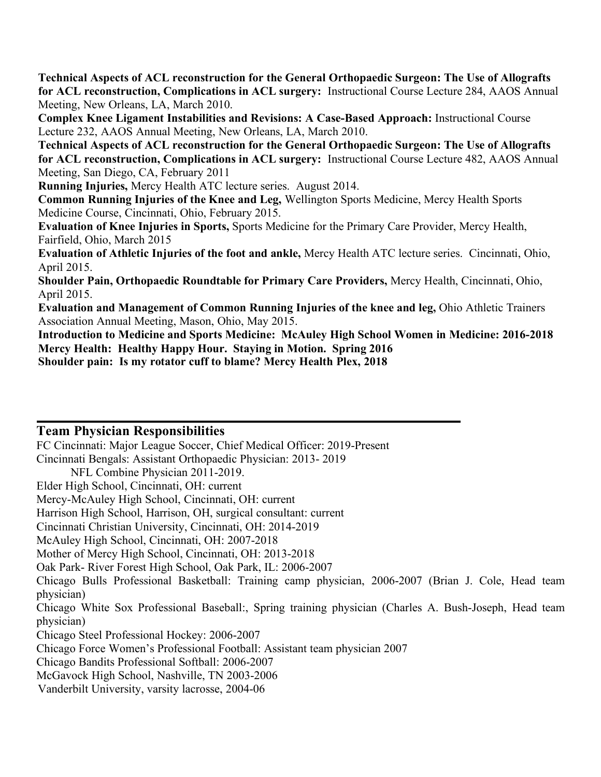**Technical Aspects of ACL reconstruction for the General Orthopaedic Surgeon: The Use of Allografts for ACL reconstruction, Complications in ACL surgery:** Instructional Course Lecture 284, AAOS Annual Meeting, New Orleans, LA, March 2010.

**Complex Knee Ligament Instabilities and Revisions: A Case-Based Approach:** Instructional Course Lecture 232, AAOS Annual Meeting, New Orleans, LA, March 2010.

**Technical Aspects of ACL reconstruction for the General Orthopaedic Surgeon: The Use of Allografts for ACL reconstruction, Complications in ACL surgery:** Instructional Course Lecture 482, AAOS Annual Meeting, San Diego, CA, February 2011

**Running Injuries,** Mercy Health ATC lecture series. August 2014.

**Common Running Injuries of the Knee and Leg,** Wellington Sports Medicine, Mercy Health Sports Medicine Course, Cincinnati, Ohio, February 2015.

**Evaluation of Knee Injuries in Sports,** Sports Medicine for the Primary Care Provider, Mercy Health, Fairfield, Ohio, March 2015

**Evaluation of Athletic Injuries of the foot and ankle,** Mercy Health ATC lecture series. Cincinnati, Ohio, April 2015.

**Shoulder Pain, Orthopaedic Roundtable for Primary Care Providers,** Mercy Health, Cincinnati, Ohio, April 2015.

**Evaluation and Management of Common Running Injuries of the knee and leg,** Ohio Athletic Trainers Association Annual Meeting, Mason, Ohio, May 2015.

**Introduction to Medicine and Sports Medicine: McAuley High School Women in Medicine: 2016-2018 Mercy Health: Healthy Happy Hour. Staying in Motion. Spring 2016**

**Shoulder pain: Is my rotator cuff to blame? Mercy Health Plex, 2018**

### **Team Physician Responsibilities**

FC Cincinnati: Major League Soccer, Chief Medical Officer: 2019-Present Cincinnati Bengals: Assistant Orthopaedic Physician: 2013- 2019

NFL Combine Physician 2011-2019.

Elder High School, Cincinnati, OH: current

Mercy-McAuley High School, Cincinnati, OH: current

Harrison High School, Harrison, OH, surgical consultant: current

Cincinnati Christian University, Cincinnati, OH: 2014-2019

McAuley High School, Cincinnati, OH: 2007-2018

Mother of Mercy High School, Cincinnati, OH: 2013-2018

Oak Park- River Forest High School, Oak Park, IL: 2006-2007

Chicago Bulls Professional Basketball: Training camp physician, 2006-2007 (Brian J. Cole, Head team physician)

Chicago White Sox Professional Baseball:, Spring training physician (Charles A. Bush-Joseph, Head team physician)

Chicago Steel Professional Hockey: 2006-2007

Chicago Force Women's Professional Football: Assistant team physician 2007

Chicago Bandits Professional Softball: 2006-2007

McGavock High School, Nashville, TN 2003-2006

Vanderbilt University, varsity lacrosse, 2004-06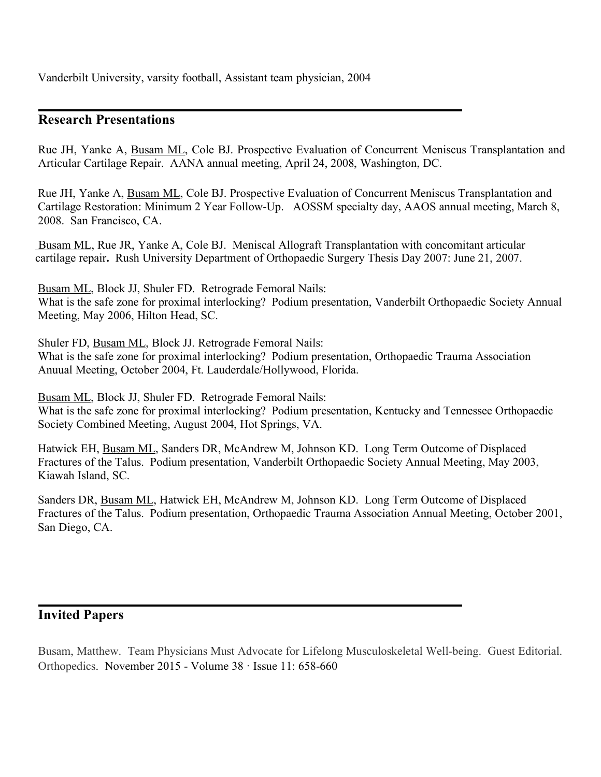Vanderbilt University, varsity football, Assistant team physician, 2004

#### **Research Presentations**

Rue JH, Yanke A, Busam ML, Cole BJ. Prospective Evaluation of Concurrent Meniscus Transplantation and Articular Cartilage Repair. AANA annual meeting, April 24, 2008, Washington, DC.

Rue JH, Yanke A, Busam ML, Cole BJ. Prospective Evaluation of Concurrent Meniscus Transplantation and Cartilage Restoration: Minimum 2 Year Follow-Up. AOSSM specialty day, AAOS annual meeting, March 8, 2008. San Francisco, CA.

Busam ML, Rue JR, Yanke A, Cole BJ.Meniscal Allograft Transplantation with concomitant articular cartilage repair**.** Rush University Department of Orthopaedic Surgery Thesis Day 2007: June 21, 2007.

Busam ML, Block JJ, Shuler FD. Retrograde Femoral Nails: What is the safe zone for proximal interlocking? Podium presentation, Vanderbilt Orthopaedic Society Annual Meeting, May 2006, Hilton Head, SC.

Shuler FD, **Busam ML**, Block JJ. Retrograde Femoral Nails: What is the safe zone for proximal interlocking? Podium presentation, Orthopaedic Trauma Association Anuual Meeting, October 2004, Ft. Lauderdale/Hollywood, Florida.

Busam ML, Block JJ, Shuler FD. Retrograde Femoral Nails: What is the safe zone for proximal interlocking? Podium presentation, Kentucky and Tennessee Orthopaedic Society Combined Meeting, August 2004, Hot Springs, VA.

Hatwick EH, Busam ML, Sanders DR, McAndrew M, Johnson KD. Long Term Outcome of Displaced Fractures of the Talus. Podium presentation, Vanderbilt Orthopaedic Society Annual Meeting, May 2003, Kiawah Island, SC.

Sanders DR, Busam ML, Hatwick EH, McAndrew M, Johnson KD. Long Term Outcome of Displaced Fractures of the Talus. Podium presentation, Orthopaedic Trauma Association Annual Meeting, October 2001, San Diego, CA.

### **Invited Papers**

Busam, Matthew. Team Physicians Must Advocate for Lifelong Musculoskeletal Well-being. Guest Editorial. Orthopedics. November 2015 - Volume 38 · Issue 11: 658-660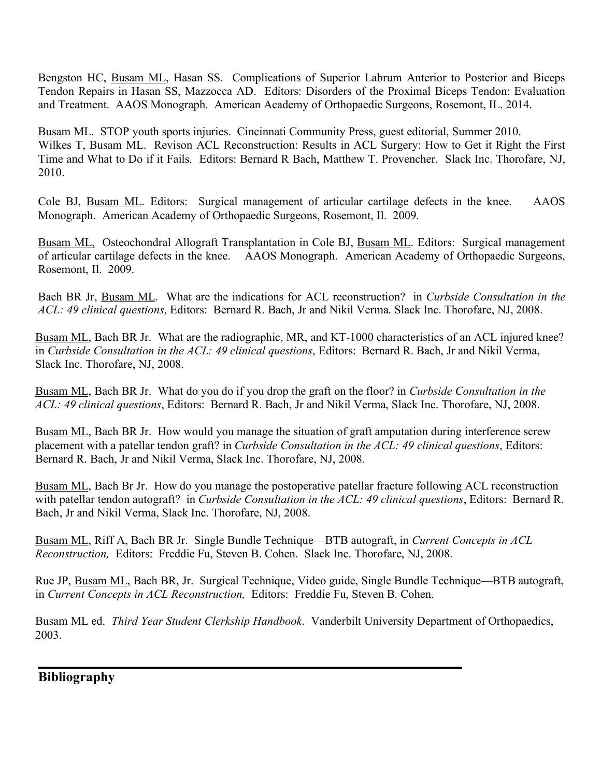Bengston HC, Busam ML, Hasan SS. Complications of Superior Labrum Anterior to Posterior and Biceps Tendon Repairs in Hasan SS, Mazzocca AD. Editors: Disorders of the Proximal Biceps Tendon: Evaluation and Treatment. AAOS Monograph. American Academy of Orthopaedic Surgeons, Rosemont, IL. 2014.

Busam ML. STOP youth sports injuries. Cincinnati Community Press, guest editorial, Summer 2010. Wilkes T, Busam ML. Revison ACL Reconstruction: Results in ACL Surgery: How to Get it Right the First Time and What to Do if it Fails. Editors: Bernard R Bach, Matthew T. Provencher. Slack Inc. Thorofare, NJ, 2010.

Cole BJ, Busam ML. Editors: Surgical management of articular cartilage defects in the knee. AAOS Monograph. American Academy of Orthopaedic Surgeons, Rosemont, Il. 2009.

Busam ML, Osteochondral Allograft Transplantation in Cole BJ, Busam ML. Editors: Surgical management of articular cartilage defects in the knee. AAOS Monograph. American Academy of Orthopaedic Surgeons, Rosemont, Il. 2009.

Bach BR Jr, Busam ML. What are the indications for ACL reconstruction? in *Curbside Consultation in the ACL: 49 clinical questions*, Editors: Bernard R. Bach, Jr and Nikil Verma. Slack Inc. Thorofare, NJ, 2008.

Busam ML, Bach BR Jr. What are the radiographic, MR, and KT-1000 characteristics of an ACL injured knee? in *Curbside Consultation in the ACL: 49 clinical questions*, Editors: Bernard R. Bach, Jr and Nikil Verma, Slack Inc. Thorofare, NJ, 2008.

Busam ML, Bach BR Jr. What do you do if you drop the graft on the floor? in *Curbside Consultation in the ACL: 49 clinical questions*, Editors: Bernard R. Bach, Jr and Nikil Verma, Slack Inc. Thorofare, NJ, 2008.

Busam ML, Bach BR Jr. How would you manage the situation of graft amputation during interference screw placement with a patellar tendon graft? in *Curbside Consultation in the ACL: 49 clinical questions*, Editors: Bernard R. Bach, Jr and Nikil Verma, Slack Inc. Thorofare, NJ, 2008.

Busam ML, Bach Br Jr. How do you manage the postoperative patellar fracture following ACL reconstruction with patellar tendon autograft? in *Curbside Consultation in the ACL: 49 clinical questions*, Editors: Bernard R. Bach, Jr and Nikil Verma, Slack Inc. Thorofare, NJ, 2008.

Busam ML, Riff A, Bach BR Jr. Single Bundle Technique—BTB autograft, in *Current Concepts in ACL Reconstruction,* Editors: Freddie Fu, Steven B. Cohen. Slack Inc. Thorofare, NJ, 2008.

Rue JP, Busam ML, Bach BR, Jr. Surgical Technique, Video guide, Single Bundle Technique—BTB autograft, in *Current Concepts in ACL Reconstruction,* Editors: Freddie Fu, Steven B. Cohen.

Busam ML ed. *Third Year Student Clerkship Handbook*. Vanderbilt University Department of Orthopaedics, 2003.

**Bibliography**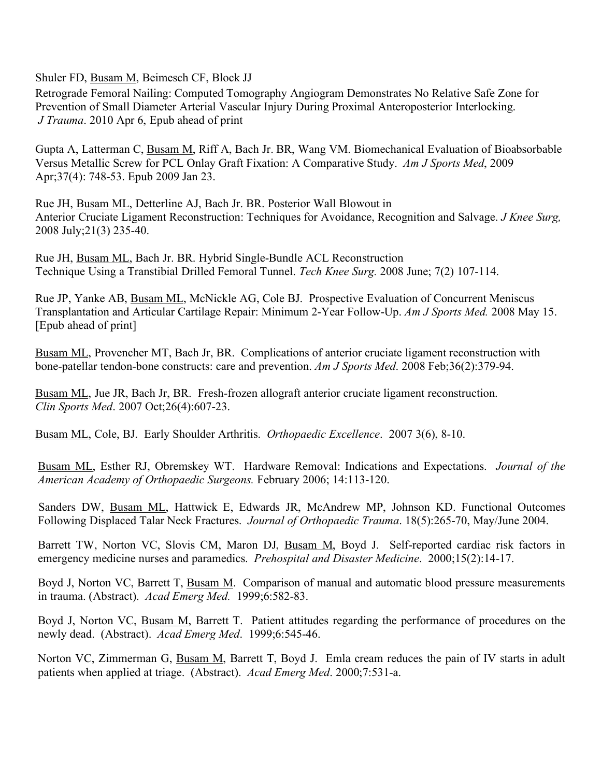Shuler FD, Busam M, Beimesch CF, Block JJ

Retrograde Femoral Nailing: Computed Tomography Angiogram Demonstrates No Relative Safe Zone for Prevention of Small Diameter Arterial Vascular Injury During Proximal Anteroposterior Interlocking. *J Trauma*. 2010 Apr 6, Epub ahead of print

Gupta A, Latterman C, Busam M, Riff A, Bach Jr. BR, Wang VM. Biomechanical Evaluation of Bioabsorbable Versus Metallic Screw for PCL Onlay Graft Fixation: A Comparative Study. *Am J Sports Med*, 2009 Apr;37(4): 748-53. Epub 2009 Jan 23.

Rue JH, Busam ML, Detterline AJ, Bach Jr. BR. Posterior Wall Blowout in Anterior Cruciate Ligament Reconstruction: Techniques for Avoidance, Recognition and Salvage. *J Knee Surg,*  2008 July;21(3) 235-40.

Rue JH, Busam ML, Bach Jr. BR. Hybrid Single-Bundle ACL Reconstruction Technique Using a Transtibial Drilled Femoral Tunnel. *Tech Knee Surg.* 2008 June; 7(2) 107-114.

Rue JP, Yanke AB, Busam ML, McNickle AG, Cole BJ. Prospective Evaluation of Concurrent Meniscus Transplantation and Articular Cartilage Repair: Minimum 2-Year Follow-Up. *Am J Sports Med.* 2008 May 15. [Epub ahead of print]

Busam ML, Provencher MT, Bach Jr, BR. Complications of anterior cruciate ligament reconstruction with bone-patellar tendon-bone constructs: care and prevention. *Am J Sports Med*. 2008 Feb;36(2):379-94.

Busam ML, Jue JR, Bach Jr, BR. Fresh-frozen allograft anterior cruciate ligament reconstruction. *Clin Sports Med*. 2007 Oct;26(4):607-23.

Busam ML, Cole, BJ. Early Shoulder Arthritis. *Orthopaedic Excellence*. 2007 3(6), 8-10.

Busam ML, Esther RJ, Obremskey WT. Hardware Removal: Indications and Expectations. *Journal of the American Academy of Orthopaedic Surgeons.* February 2006; 14:113-120.

Sanders DW, Busam ML, Hattwick E, Edwards JR, McAndrew MP, Johnson KD. Functional Outcomes Following Displaced Talar Neck Fractures. *Journal of Orthopaedic Trauma*. 18(5):265-70, May/June 2004.

Barrett TW, Norton VC, Slovis CM, Maron DJ, Busam M, Boyd J. Self-reported cardiac risk factors in emergency medicine nurses and paramedics. *Prehospital and Disaster Medicine*. 2000;15(2):14-17.

Boyd J, Norton VC, Barrett T, Busam M. Comparison of manual and automatic blood pressure measurements in trauma. (Abstract). *Acad Emerg Med.* 1999;6:582-83.

Boyd J, Norton VC, Busam M, Barrett T. Patient attitudes regarding the performance of procedures on the newly dead. (Abstract). *Acad Emerg Med*. 1999;6:545-46.

Norton VC, Zimmerman G, Busam M, Barrett T, Boyd J. Emla cream reduces the pain of IV starts in adult patients when applied at triage. (Abstract). *Acad Emerg Med*. 2000;7:531-a.